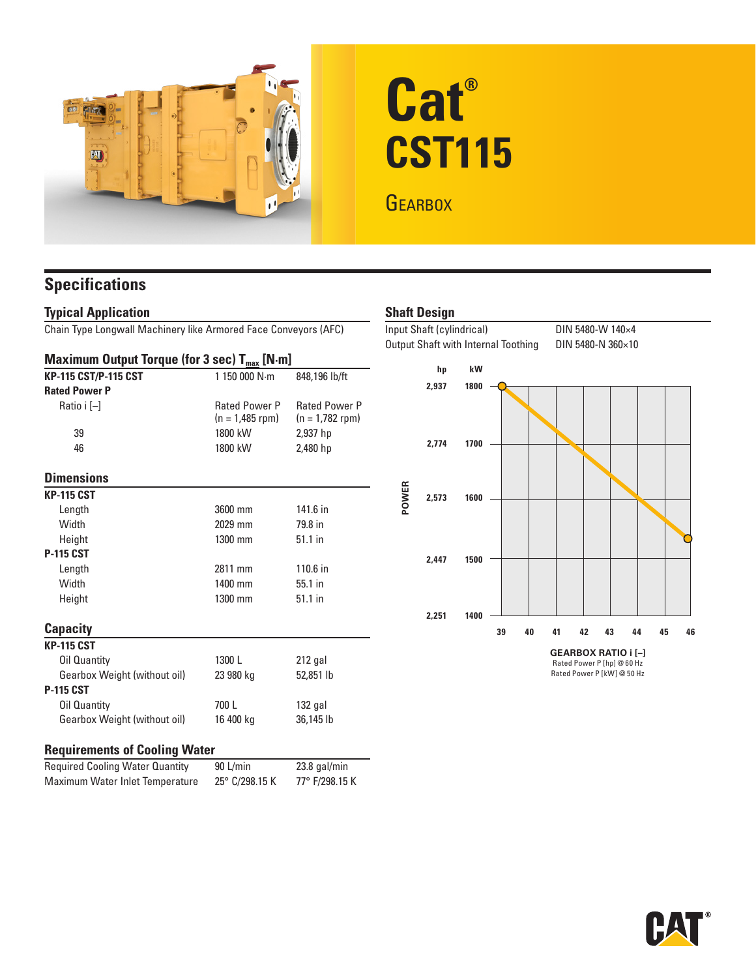

# **Cat® CST115**

## **GEARBOX**

### **Specifications**

#### **Typical Application**

Chain Type Longwall Machinery like Armored Face Conveyors (AFC)

#### **Maximum Output Torque (for 3 sec) T<sub>max</sub> [N·m]**

| <b>KP-115 CST/P-115 CST</b>            | 1150 000 N·m                       | 848,196 lb/ft                             |
|----------------------------------------|------------------------------------|-------------------------------------------|
| <b>Rated Power P</b>                   |                                    |                                           |
| Ratio i $[-]$                          | Rated Power P<br>$(n = 1,485$ rpm) | <b>Rated Power P</b><br>$(n = 1,782$ rpm) |
| 39                                     | 1800 kW                            | 2,937 hp                                  |
| 46                                     | 1800 kW                            | 2,480 hp                                  |
| <b>Dimensions</b>                      |                                    |                                           |
| <b>KP-115 CST</b>                      |                                    |                                           |
| Length                                 | 3600 mm                            | 141.6 in                                  |
| Width                                  | 2029 mm                            | 79.8 in                                   |
| Height                                 | 1300 mm                            | 51.1 in                                   |
| <b>P-115 CST</b>                       |                                    |                                           |
| Length                                 | 2811 mm                            | 110.6 in                                  |
| Width                                  | 1400 mm                            | 55.1 in                                   |
| Height                                 | 1300 mm                            | 51.1 in                                   |
| <b>Capacity</b>                        |                                    |                                           |
| <b>KP-115 CST</b>                      |                                    |                                           |
| Oil Quantity                           | 1300L                              | 212 gal                                   |
| Gearbox Weight (without oil)           | 23 980 kg                          | 52,851 lb                                 |
| <b>P-115 CST</b>                       |                                    |                                           |
| Oil Quantity                           | 700L                               | $132$ gal                                 |
| <b>Gearbox Weight (without oil)</b>    | 16 400 kg                          | 36,145 lb                                 |
| <b>Requirements of Cooling Water</b>   |                                    |                                           |
| <b>Required Cooling Water Quantity</b> | 90 L/min                           | $23.8$ gal/min                            |

Maximum Water Inlet Temperature 25° C/298.15 K 77° F/298.15 K



Rated Power P [kW] @ 50 Hz